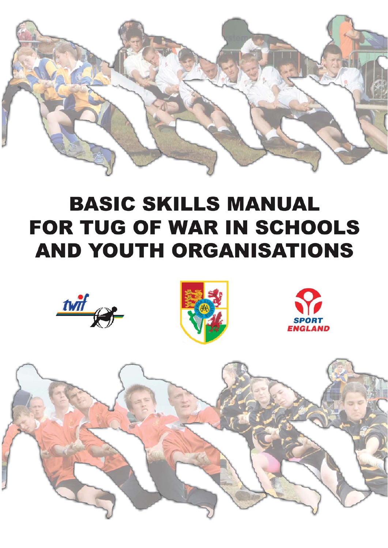

# **BASIC SKILLS MANUAL FOR TUG OF WAR IN SCHOOLS AND YOUTH ORGANISATIONS**







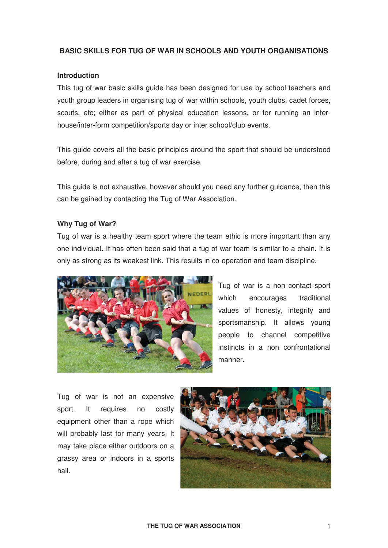# **BASIC SKILLS FOR TUG OF WAR IN SCHOOLS AND YOUTH ORGANISATIONS**

#### **Introduction**

This tug of war basic skills guide has been designed for use by school teachers and youth group leaders in organising tug of war within schools, youth clubs, cadet forces, scouts, etc; either as part of physical education lessons, or for running an interhouse/inter-form competition/sports day or inter school/club events.

This guide covers all the basic principles around the sport that should be understood before, during and after a tug of war exercise.

This guide is not exhaustive, however should you need any further guidance, then this can be gained by contacting the Tug of War Association.

#### **Why Tug of War?**

Tug of war is a healthy team sport where the team ethic is more important than any one individual. It has often been said that a tug of war team is similar to a chain. It is only as strong as its weakest link. This results in co-operation and team discipline.



Tug of war is a non contact sport which encourages traditional values of honesty, integrity and sportsmanship. It allows young people to channel competitive instincts in a non confrontational manner.

Tug of war is not an expensive sport. It requires no costly equipment other than a rope which will probably last for many years. It may take place either outdoors on a grassy area or indoors in a sports hall.

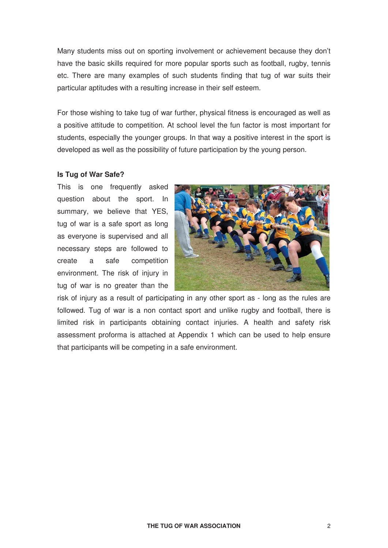Many students miss out on sporting involvement or achievement because they don't have the basic skills required for more popular sports such as football, rugby, tennis etc. There are many examples of such students finding that tug of war suits their particular aptitudes with a resulting increase in their self esteem.

For those wishing to take tug of war further, physical fitness is encouraged as well as a positive attitude to competition. At school level the fun factor is most important for students, especially the younger groups. In that way a positive interest in the sport is developed as well as the possibility of future participation by the young person.

#### **Is Tug of War Safe?**

This is one frequently asked question about the sport. In summary, we believe that YES, tug of war is a safe sport as long as everyone is supervised and all necessary steps are followed to create a safe competition environment. The risk of injury in tug of war is no greater than the



risk of injury as a result of participating in any other sport as - long as the rules are followed. Tug of war is a non contact sport and unlike rugby and football, there is limited risk in participants obtaining contact injuries. A health and safety risk assessment proforma is attached at Appendix 1 which can be used to help ensure that participants will be competing in a safe environment.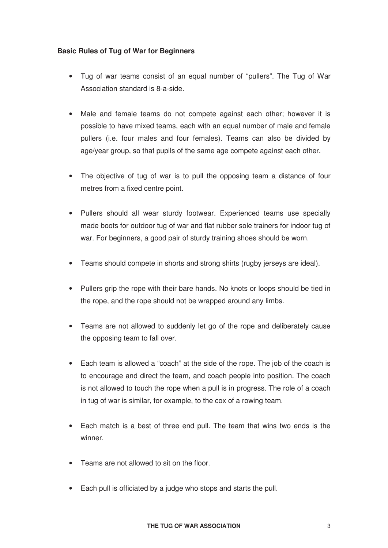# **Basic Rules of Tug of War for Beginners**

- Tug of war teams consist of an equal number of "pullers". The Tug of War Association standard is 8-a-side.
- Male and female teams do not compete against each other; however it is possible to have mixed teams, each with an equal number of male and female pullers (i.e. four males and four females). Teams can also be divided by age/year group, so that pupils of the same age compete against each other.
- The objective of tug of war is to pull the opposing team a distance of four metres from a fixed centre point.
- Pullers should all wear sturdy footwear. Experienced teams use specially made boots for outdoor tug of war and flat rubber sole trainers for indoor tug of war. For beginners, a good pair of sturdy training shoes should be worn.
- Teams should compete in shorts and strong shirts (rugby jerseys are ideal).
- Pullers grip the rope with their bare hands. No knots or loops should be tied in the rope, and the rope should not be wrapped around any limbs.
- Teams are not allowed to suddenly let go of the rope and deliberately cause the opposing team to fall over.
- Each team is allowed a "coach" at the side of the rope. The job of the coach is to encourage and direct the team, and coach people into position. The coach is not allowed to touch the rope when a pull is in progress. The role of a coach in tug of war is similar, for example, to the cox of a rowing team.
- Each match is a best of three end pull. The team that wins two ends is the winner.
- Teams are not allowed to sit on the floor.
- Each pull is officiated by a judge who stops and starts the pull.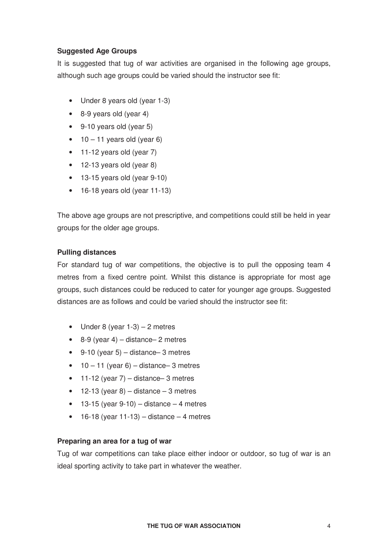# **Suggested Age Groups**

It is suggested that tug of war activities are organised in the following age groups, although such age groups could be varied should the instructor see fit:

- Under 8 years old (year 1-3)
- 8-9 years old (year 4)
- 9-10 years old (year 5)
- $\bullet$  10 11 years old (year 6)
- 11-12 years old (year 7)
- 12-13 years old (year 8)
- 13-15 years old (year 9-10)
- 16-18 years old (year 11-13)

The above age groups are not prescriptive, and competitions could still be held in year groups for the older age groups.

# **Pulling distances**

For standard tug of war competitions, the objective is to pull the opposing team 4 metres from a fixed centre point. Whilst this distance is appropriate for most age groups, such distances could be reduced to cater for younger age groups. Suggested distances are as follows and could be varied should the instructor see fit:

- Under 8 (year  $1-3$ ) 2 metres
- $\bullet$  8-9 (year 4) distance– 2 metres
- $\bullet$  9-10 (year 5) distance–3 metres
- $10 11$  (year 6) distance– 3 metres
- 11-12 (year  $7$ ) distance– 3 metres
- $\bullet$  12-13 (year 8) distance 3 metres
- $\bullet$  13-15 (year 9-10) distance 4 metres
- $\bullet$  16-18 (year 11-13) distance 4 metres

#### **Preparing an area for a tug of war**

Tug of war competitions can take place either indoor or outdoor, so tug of war is an ideal sporting activity to take part in whatever the weather.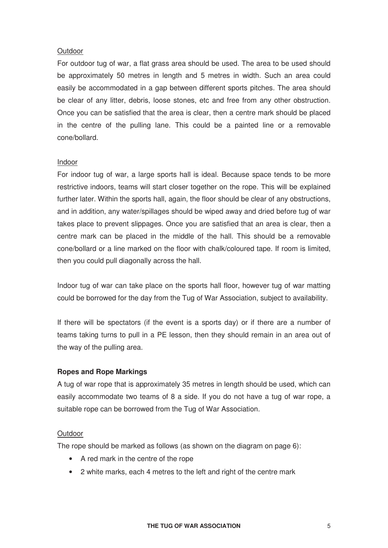#### **Outdoor**

For outdoor tug of war, a flat grass area should be used. The area to be used should be approximately 50 metres in length and 5 metres in width. Such an area could easily be accommodated in a gap between different sports pitches. The area should be clear of any litter, debris, loose stones, etc and free from any other obstruction. Once you can be satisfied that the area is clear, then a centre mark should be placed in the centre of the pulling lane. This could be a painted line or a removable cone/bollard.

#### Indoor

For indoor tug of war, a large sports hall is ideal. Because space tends to be more restrictive indoors, teams will start closer together on the rope. This will be explained further later. Within the sports hall, again, the floor should be clear of any obstructions, and in addition, any water/spillages should be wiped away and dried before tug of war takes place to prevent slippages. Once you are satisfied that an area is clear, then a centre mark can be placed in the middle of the hall. This should be a removable cone/bollard or a line marked on the floor with chalk/coloured tape. If room is limited, then you could pull diagonally across the hall.

Indoor tug of war can take place on the sports hall floor, however tug of war matting could be borrowed for the day from the Tug of War Association, subject to availability.

If there will be spectators (if the event is a sports day) or if there are a number of teams taking turns to pull in a PE lesson, then they should remain in an area out of the way of the pulling area.

# **Ropes and Rope Markings**

A tug of war rope that is approximately 35 metres in length should be used, which can easily accommodate two teams of 8 a side. If you do not have a tug of war rope, a suitable rope can be borrowed from the Tug of War Association.

#### **Outdoor**

The rope should be marked as follows (as shown on the diagram on page 6):

- A red mark in the centre of the rope
- 2 white marks, each 4 metres to the left and right of the centre mark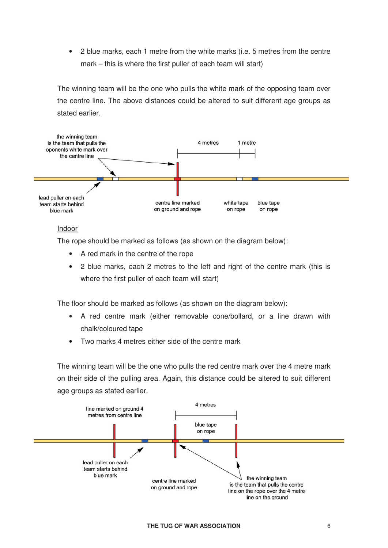• 2 blue marks, each 1 metre from the white marks (i.e. 5 metres from the centre mark – this is where the first puller of each team will start)

The winning team will be the one who pulls the white mark of the opposing team over the centre line. The above distances could be altered to suit different age groups as stated earlier.



#### Indoor

The rope should be marked as follows (as shown on the diagram below):

- A red mark in the centre of the rope
- 2 blue marks, each 2 metres to the left and right of the centre mark (this is where the first puller of each team will start)

The floor should be marked as follows (as shown on the diagram below):

- A red centre mark (either removable cone/bollard, or a line drawn with chalk/coloured tape
- Two marks 4 metres either side of the centre mark

The winning team will be the one who pulls the red centre mark over the 4 metre mark on their side of the pulling area. Again, this distance could be altered to suit different age groups as stated earlier.

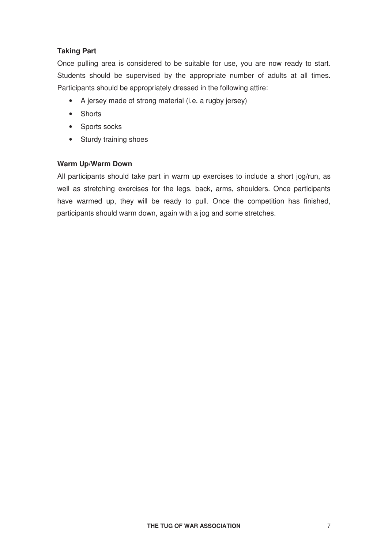# **Taking Part**

Once pulling area is considered to be suitable for use, you are now ready to start. Students should be supervised by the appropriate number of adults at all times. Participants should be appropriately dressed in the following attire:

- A jersey made of strong material (i.e. a rugby jersey)
- Shorts
- Sports socks
- Sturdy training shoes

# **Warm Up/Warm Down**

All participants should take part in warm up exercises to include a short jog/run, as well as stretching exercises for the legs, back, arms, shoulders. Once participants have warmed up, they will be ready to pull. Once the competition has finished, participants should warm down, again with a jog and some stretches.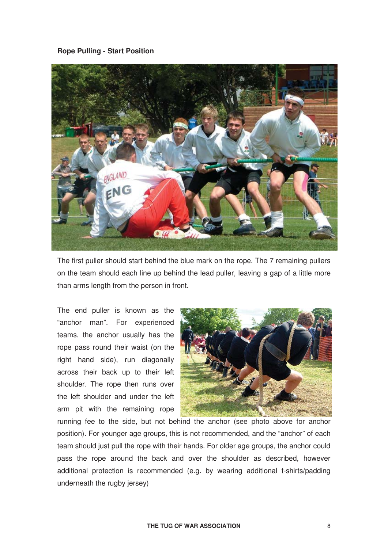#### **Rope Pulling - Start Position**



The first puller should start behind the blue mark on the rope. The 7 remaining pullers on the team should each line up behind the lead puller, leaving a gap of a little more than arms length from the person in front.

The end puller is known as the "anchor man". For experienced teams, the anchor usually has the rope pass round their waist (on the right hand side), run diagonally across their back up to their left shoulder. The rope then runs over the left shoulder and under the left arm pit with the remaining rope



running fee to the side, but not behind the anchor (see photo above for anchor position). For younger age groups, this is not recommended, and the "anchor" of each team should just pull the rope with their hands. For older age groups, the anchor could pass the rope around the back and over the shoulder as described, however additional protection is recommended (e.g. by wearing additional t-shirts/padding underneath the rugby jersey)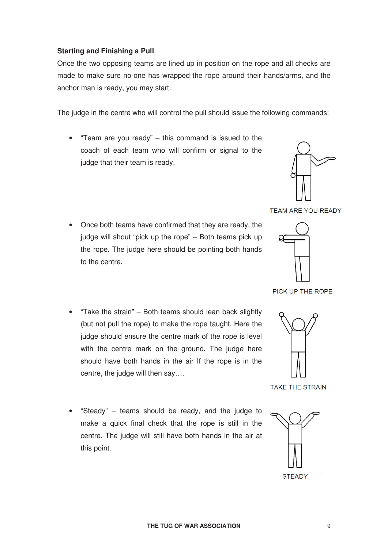# **Starting and Finishing a Pull**

Once the two opposing teams are lined up in position on the rope and all checks are made to make sure no-one has wrapped the rope around their hands/arms, and the anchor man is ready, you may start.

The judge in the centre who will control the pull should issue the following commands:

• "Team are you ready" – this command is issued to the coach of each team who will confirm or signal to the judge that their team is ready.



**TEAM ARE YOU READY** 

- Once both teams have confirmed that they are ready, the judge will shout "pick up the rope" – Both teams pick up the rope. The judge here should be pointing both hands to the centre.
- "Take the strain" Both teams should lean back slightly (but not pull the rope) to make the rope taught. Here the judge should ensure the centre mark of the rope is level with the centre mark on the ground. The judge here should have both hands in the air If the rope is in the centre, the judge will then say….



PICK UP THE ROPE

**TAKE THE STRAIN** 

• "Steady" – teams should be ready, and the judge to make a quick final check that the rope is still in the centre. The judge will still have both hands in the air at this point.

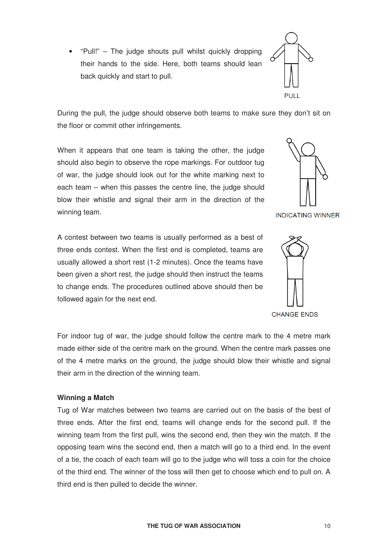opposing team wins the second end, then a match will go to a third end. In the event of a tie, the coach of each team will go to the judge who will toss a coin for the choice

followed again for the next end. **CHANGE ENDS** 

For indoor tug of war, the judge should follow the centre mark to the 4 metre mark made either side of the centre mark on the ground. When the centre mark passes one of the 4 metre marks on the ground, the judge should blow their whistle and signal their arm in the direction of the winning team.

Tug of War matches between two teams are carried out on the basis of the best of three ends. After the first end, teams will change ends for the second pull. If the winning team from the first pull, wins the second end, then they win the match. If the

of the third end. The winner of the toss will then get to choose which end to pull on. A

third end is then pulled to decide the winner.

# **Winning a Match**

winning team.

During the pull, the judge should observe both teams to make sure they don't sit on the floor or commit other infringements.

When it appears that one team is taking the other, the judge should also begin to observe the rope markings. For outdoor tug of war, the judge should look out for the white marking next to each team – when this passes the centre line, the judge should blow their whistle and signal their arm in the direction of the

A contest between two teams is usually performed as a best of three ends contest. When the first end is completed, teams are usually allowed a short rest (1-2 minutes). Once the teams have been given a short rest, the judge should then instruct the teams to change ends. The procedures outlined above should then be





**INDICATING WINNER** 



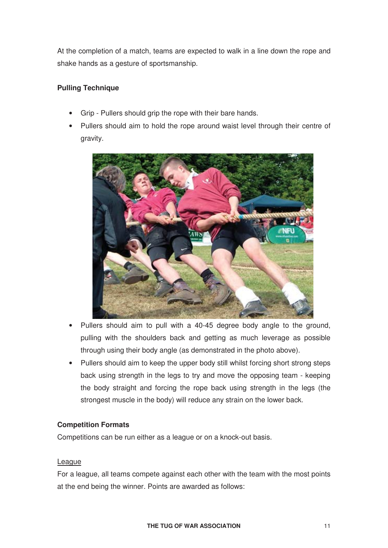At the completion of a match, teams are expected to walk in a line down the rope and shake hands as a gesture of sportsmanship.

# **Pulling Technique**

- Grip Pullers should grip the rope with their bare hands.
- Pullers should aim to hold the rope around waist level through their centre of gravity.



- Pullers should aim to pull with a 40-45 degree body angle to the ground, pulling with the shoulders back and getting as much leverage as possible through using their body angle (as demonstrated in the photo above).
- Pullers should aim to keep the upper body still whilst forcing short strong steps back using strength in the legs to try and move the opposing team - keeping the body straight and forcing the rope back using strength in the legs (the strongest muscle in the body) will reduce any strain on the lower back.

# **Competition Formats**

Competitions can be run either as a league or on a knock-out basis.

# League

For a league, all teams compete against each other with the team with the most points at the end being the winner. Points are awarded as follows: